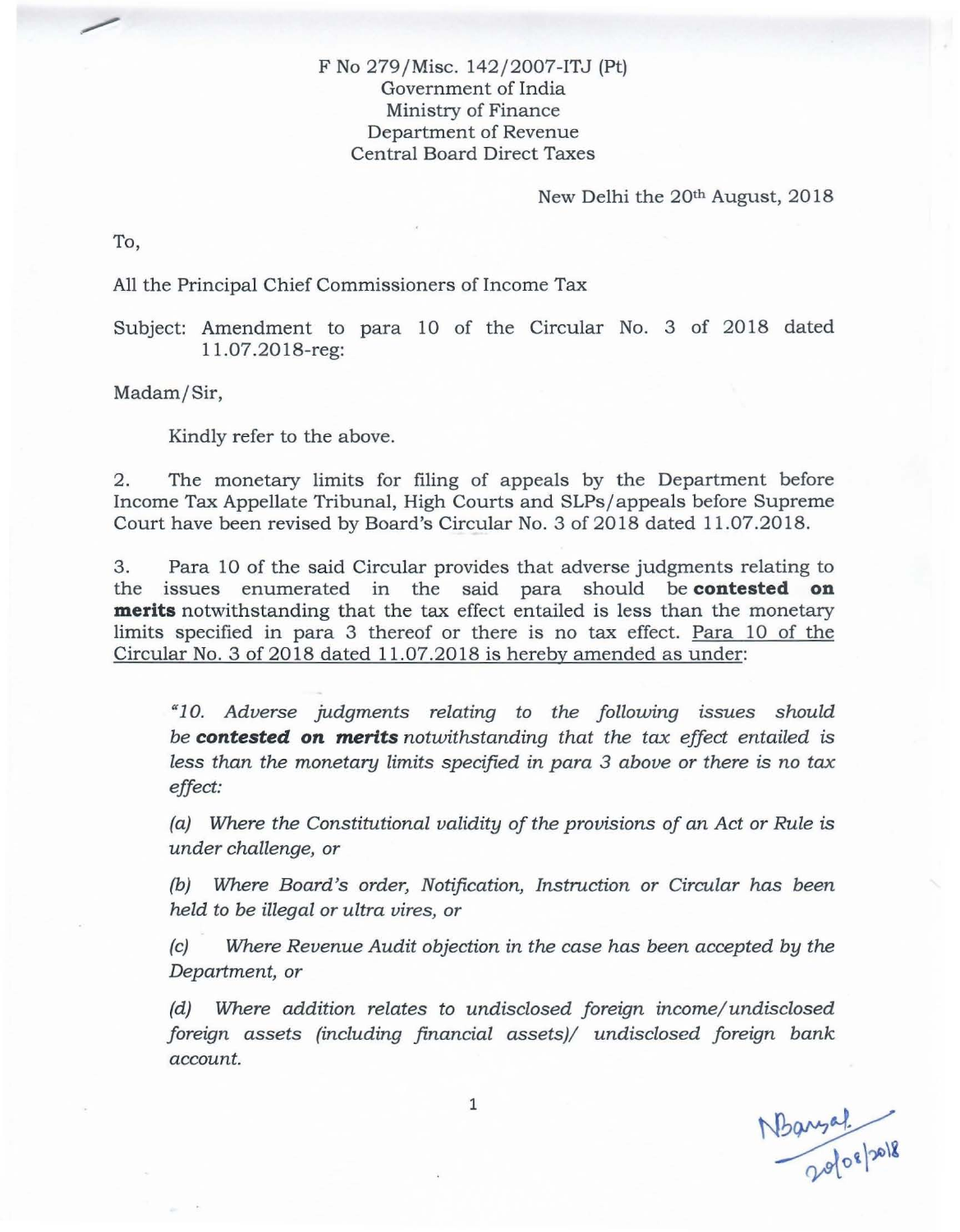## F No 279/Misc. 142/2007-ITJ (Pt) Government of India Ministry of Finance Department of Revenue Central Board Direct Taxes

New Delhi the 20th August, 2018

To,

## All the Principal Chief Commissioners of Income Tax

Subject: Amendment to para 10 of the Circular No. 3 of 2018 dated 11.07.2018-reg:

Madam/Sir,

Kindly refer to the above.

2. The monetary limits for filing of appeals by the Department before Income Tax Appellate Tribunal, High Courts and SLPs/appeals before Supreme Court have been revised by Board's Circular No.3 of 2018 dated 11.07.2018.

3. Para 10 of the said Circular provides that adverse judgments relating to the issues enumerated in the said para should be **contested on merits** notwithstanding that the tax effect entailed is less than the monetary limits specified in para 3 thereof or there is no tax effect. Para 10 of the Circular No.3 of 2018 dated 11.07.2018 is hereby amended as under:

*a 10. Adverse judgments relating* to *the following issues should be contested* **on** *merits notwithstanding that the tax effect entailed* is *less than the monetary limits specified in para* 3 *above* or *there* is *no tax effect:* 

*(a) Where the Constitutional validity of the provisions of an Act* or *Rule* is *under challenge,* or

(b) *Where Board's order, Notification, Instruction* or *Circular has been held* to *be illegal* or *ultra vires,* or

*(c) Where Revenue Audit objection in the case has been accepted by the Department,* or

*(d) Where addition relates* to *undisclosed foreign income/ undisclosed foreign assets (including financial assets)/ undisclosed foreign bank account.*